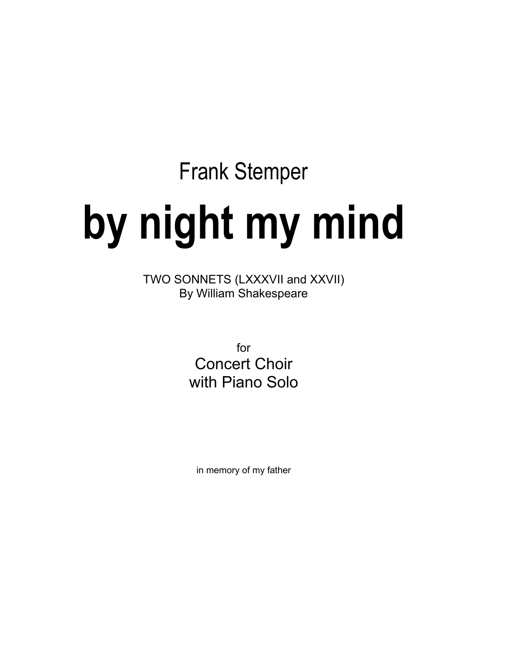## Frank Stemper **by night my mind**

TWO SONNETS (LXXXVII and XXVII) By William Shakespeare

> for Concert Choir with Piano Solo

in memory of my father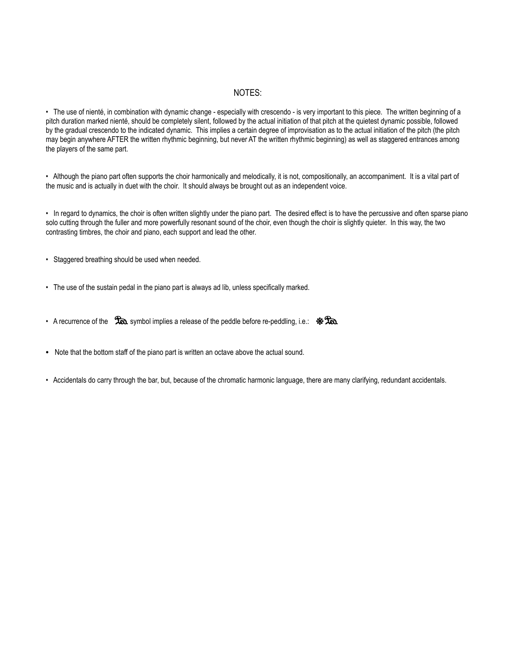## NOTES:

• The use of nienté, in combination with dynamic change - especially with crescendo - is very important to this piece. The written beginning of a pitch duration marked nienté, should be completely silent, followed by the actual initiation of that pitch at the quietest dynamic possible, followed by the gradual crescendo to the indicated dynamic. This implies a certain degree of improvisation as to the actual initiation of the pitch (the pitch may begin anywhere AFTER the written rhythmic beginning, but never AT the written rhythmic beginning) as well as staggered entrances among the players of the same part.

• Although the piano part often supports the choir harmonically and melodically, it is not, compositionally, an accompaniment. It is a vital part of the music and is actually in duet with the choir. It should always be brought out as an independent voice.

• In regard to dynamics, the choir is often written slightly under the piano part. The desired effect is to have the percussive and often sparse piano solo cutting through the fuller and more powerfully resonant sound of the choir, even though the choir is slightly quieter. In this way, the two contrasting timbres, the choir and piano, each support and lead the other.

- Staggered breathing should be used when needed.
- The use of the sustain pedal in the piano part is always ad lib, unless specifically marked.
- A recurrence of the  $\Re \alpha$  symbol implies a release of the peddle before re-peddling, i.e.:  $\Re \Re \alpha$ .
- Note that the bottom staff of the piano part is written an octave above the actual sound.
- Accidentals do carry through the bar, but, because of the chromatic harmonic language, there are many clarifying, redundant accidentals.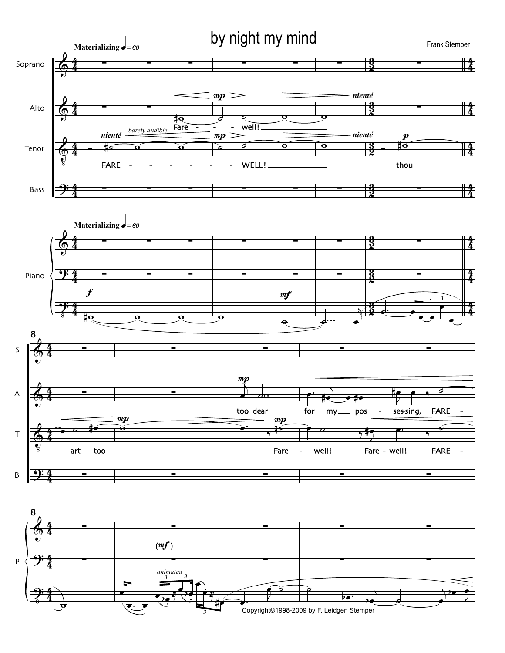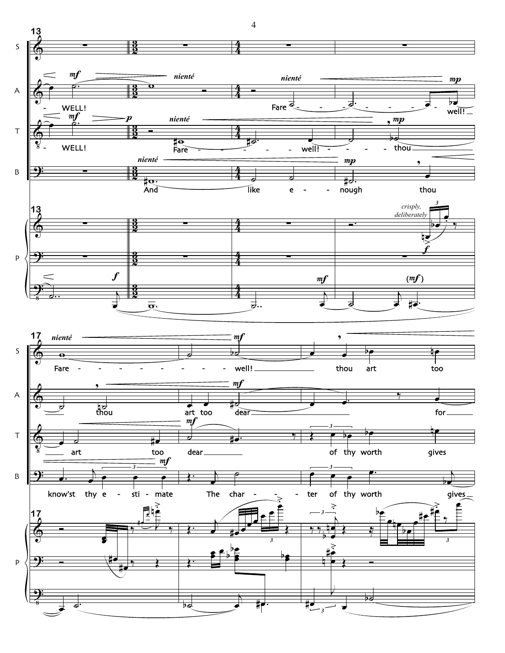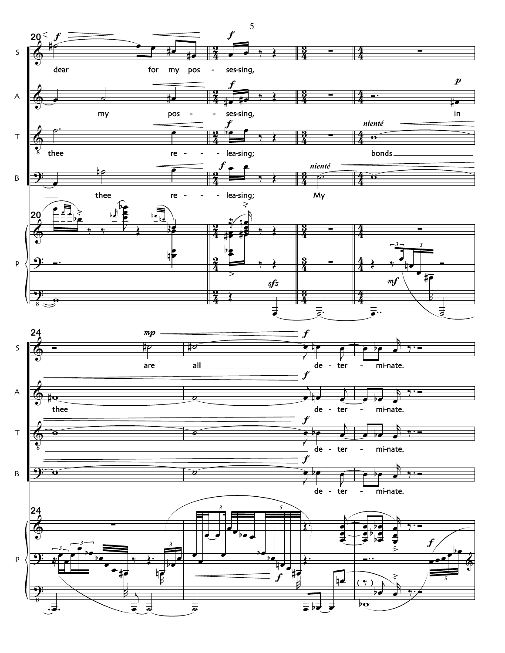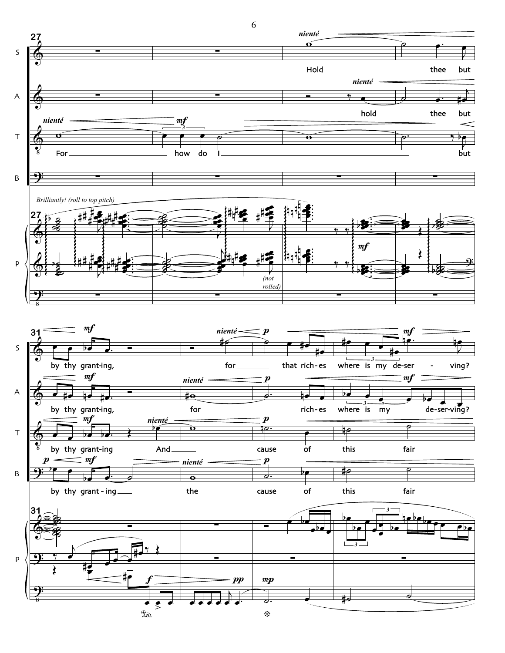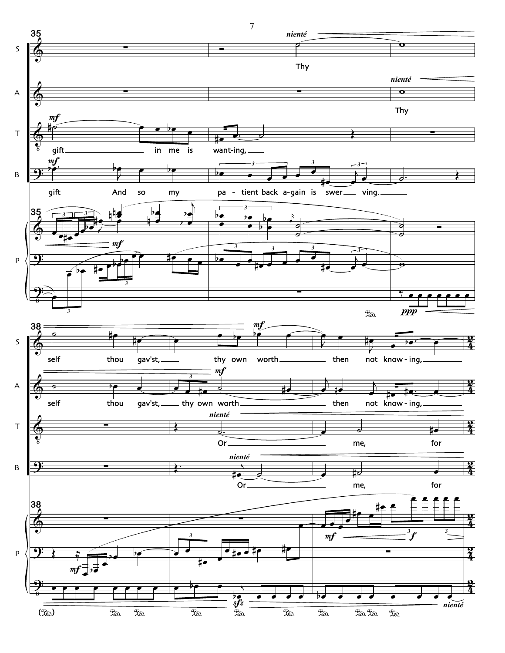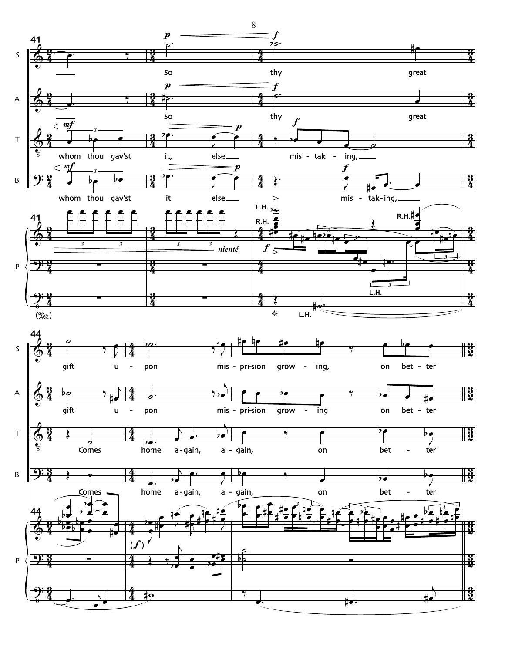![](_page_7_Figure_0.jpeg)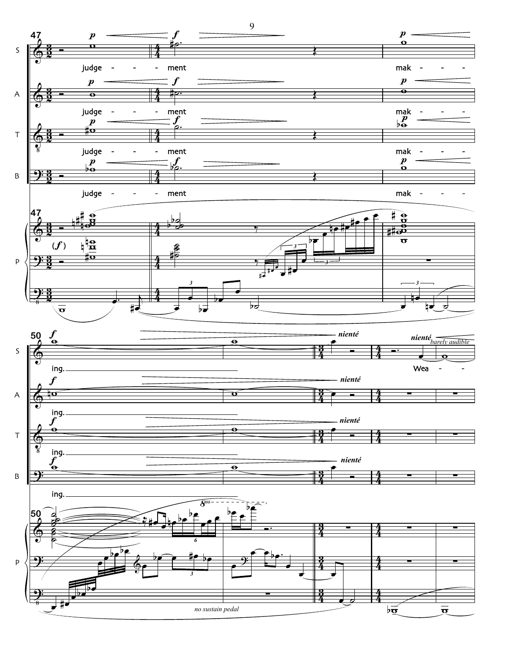![](_page_8_Figure_0.jpeg)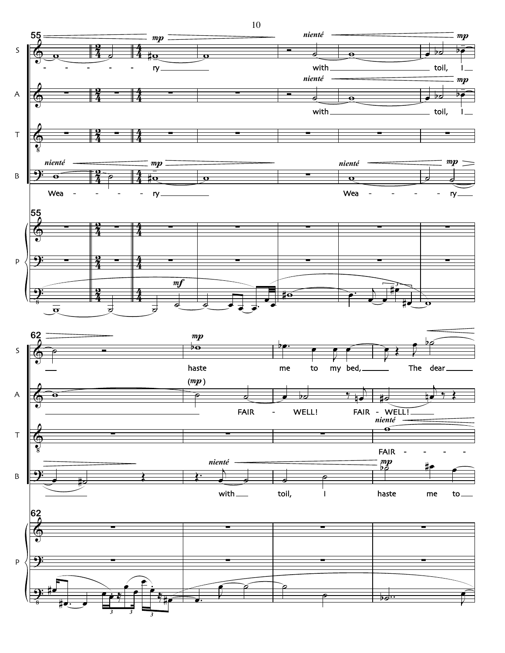![](_page_9_Figure_0.jpeg)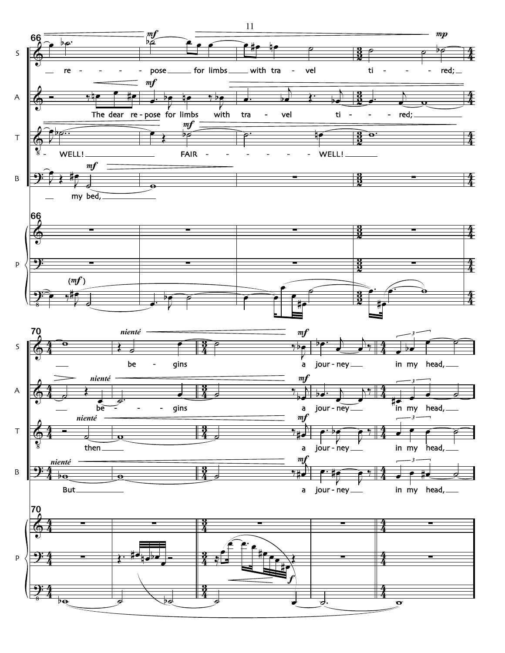![](_page_10_Figure_0.jpeg)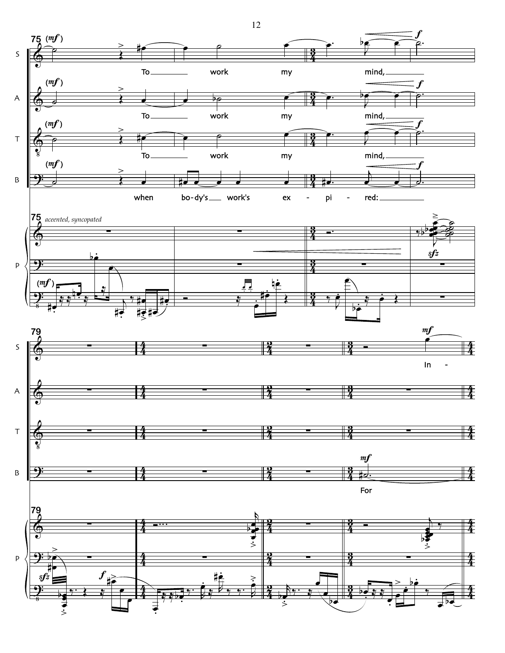![](_page_11_Figure_0.jpeg)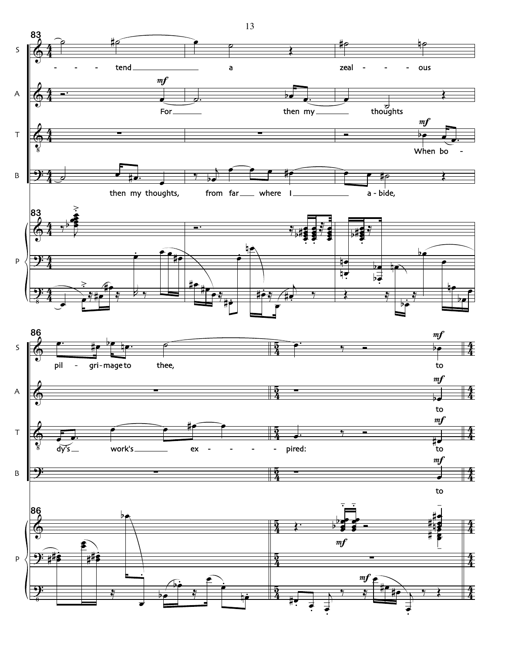![](_page_12_Figure_0.jpeg)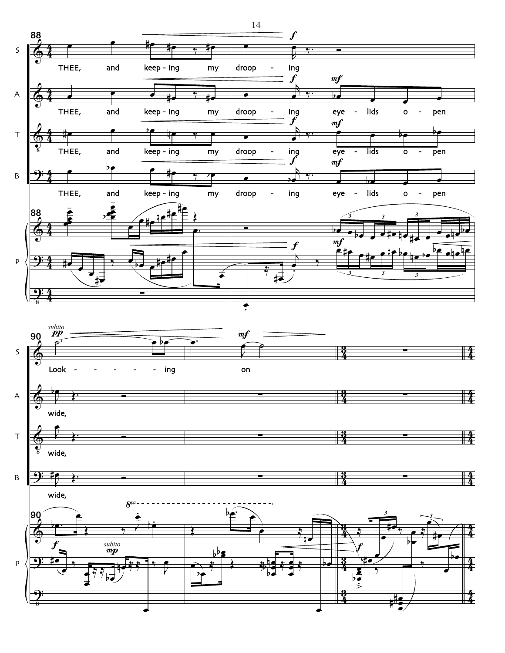![](_page_13_Figure_0.jpeg)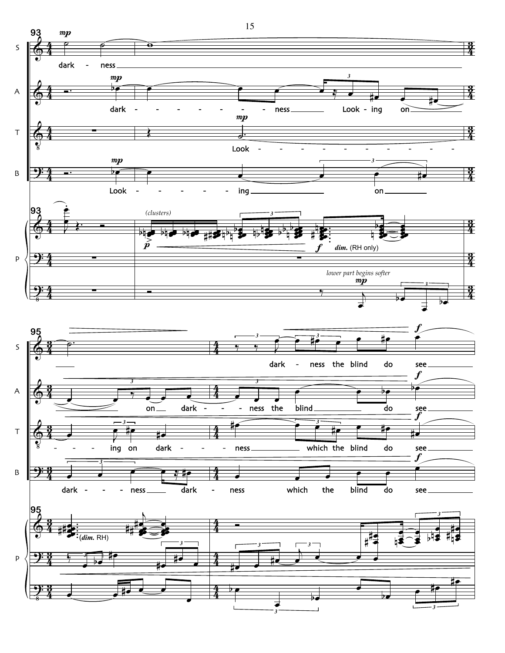![](_page_14_Figure_0.jpeg)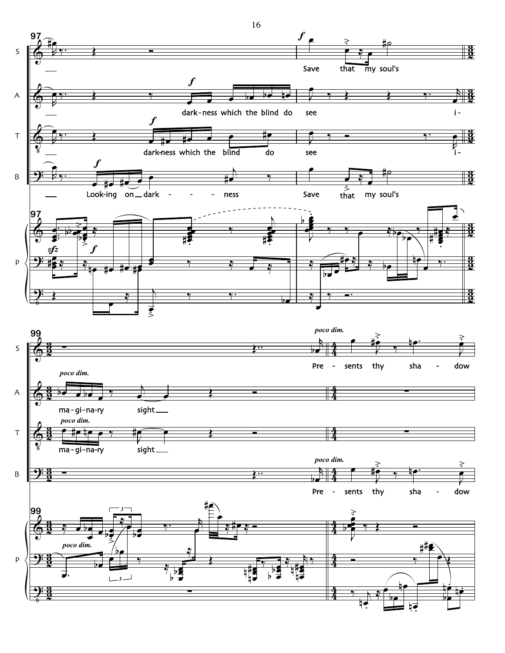![](_page_15_Figure_0.jpeg)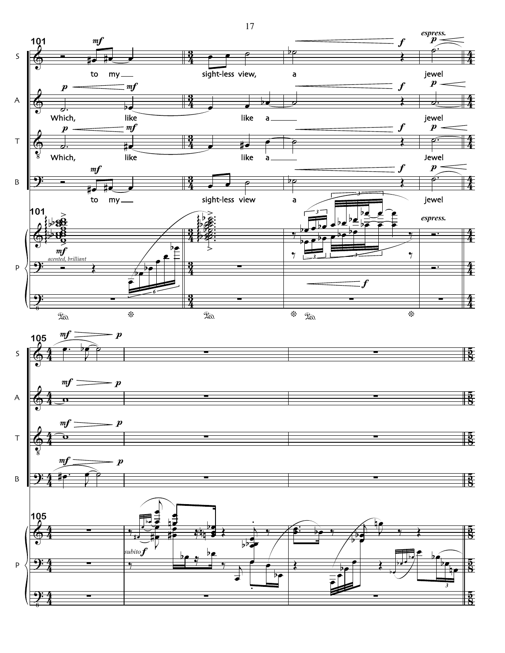![](_page_16_Figure_0.jpeg)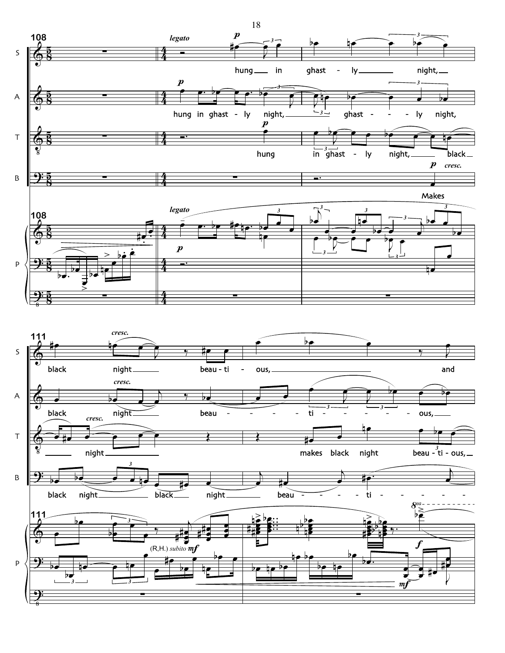![](_page_17_Figure_0.jpeg)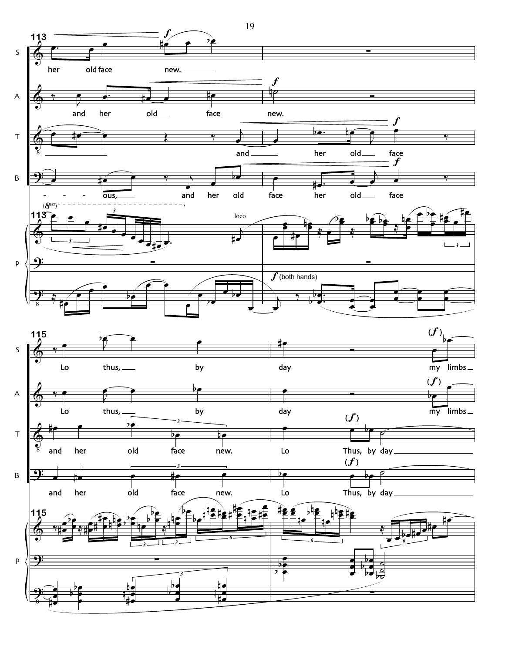![](_page_18_Figure_0.jpeg)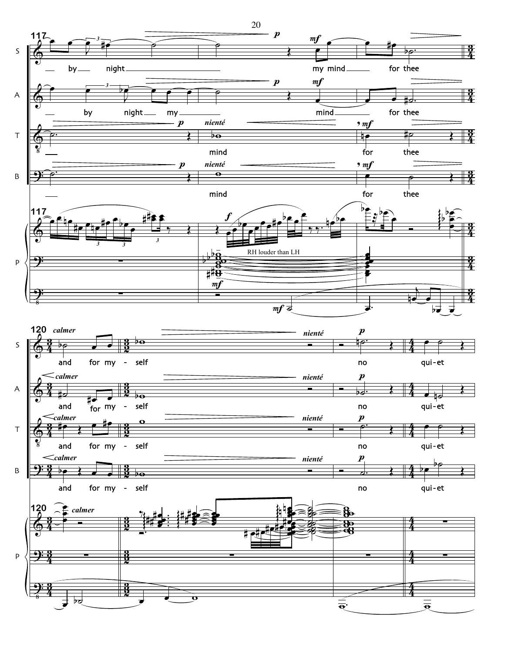![](_page_19_Figure_0.jpeg)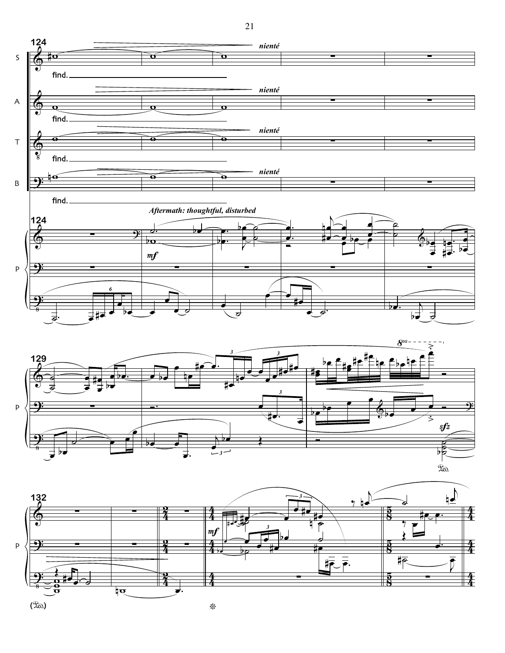![](_page_20_Figure_0.jpeg)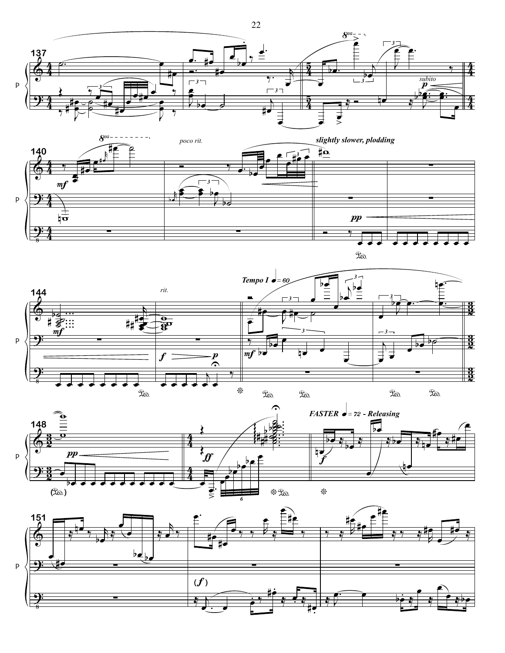![](_page_21_Figure_0.jpeg)

![](_page_21_Figure_1.jpeg)

![](_page_21_Figure_2.jpeg)

![](_page_21_Figure_3.jpeg)

![](_page_21_Figure_4.jpeg)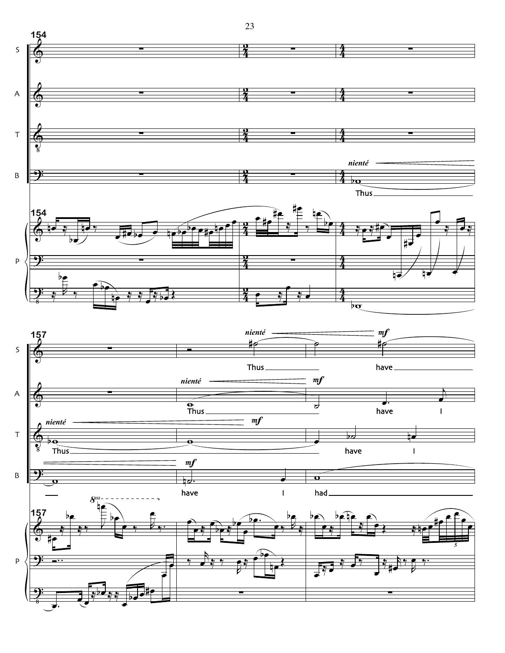![](_page_22_Figure_0.jpeg)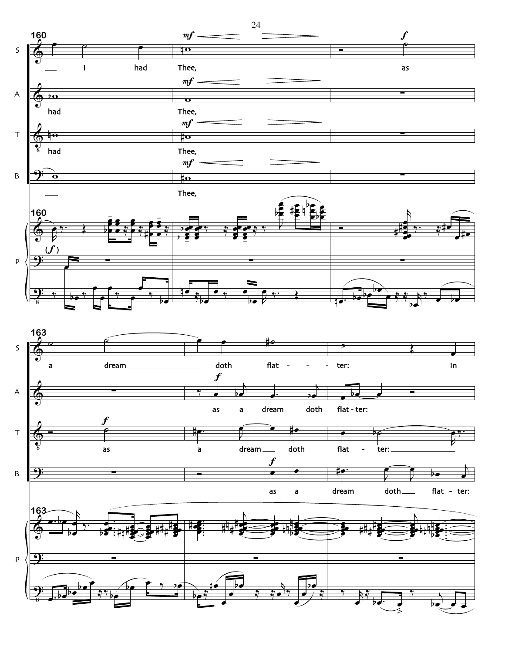![](_page_23_Figure_0.jpeg)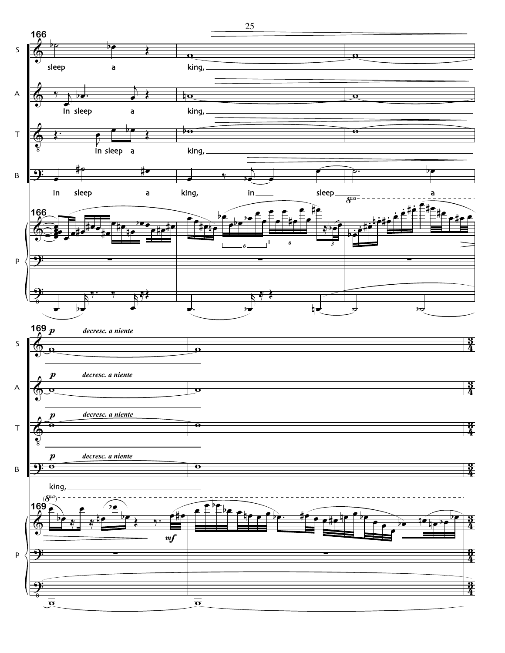![](_page_24_Figure_0.jpeg)